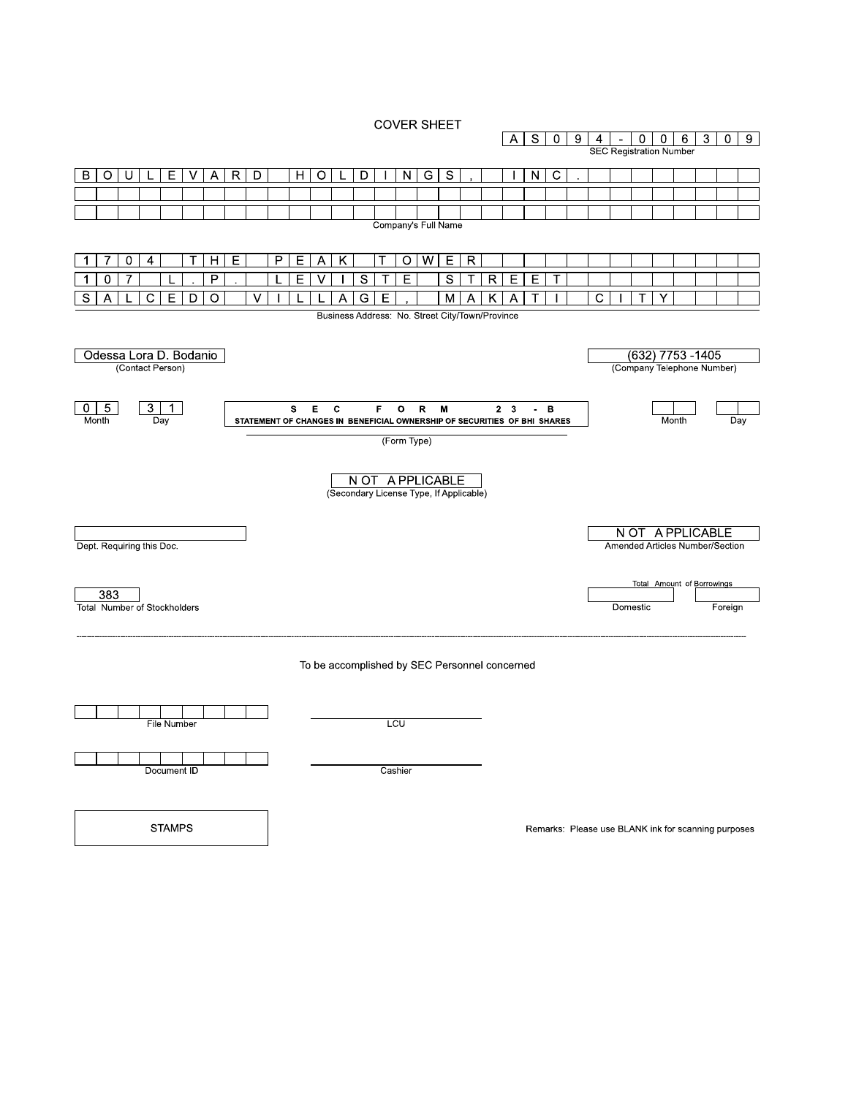**COVER SHEET** 



**STAMPS** 

Remarks: Please use BLANK ink for scanning purposes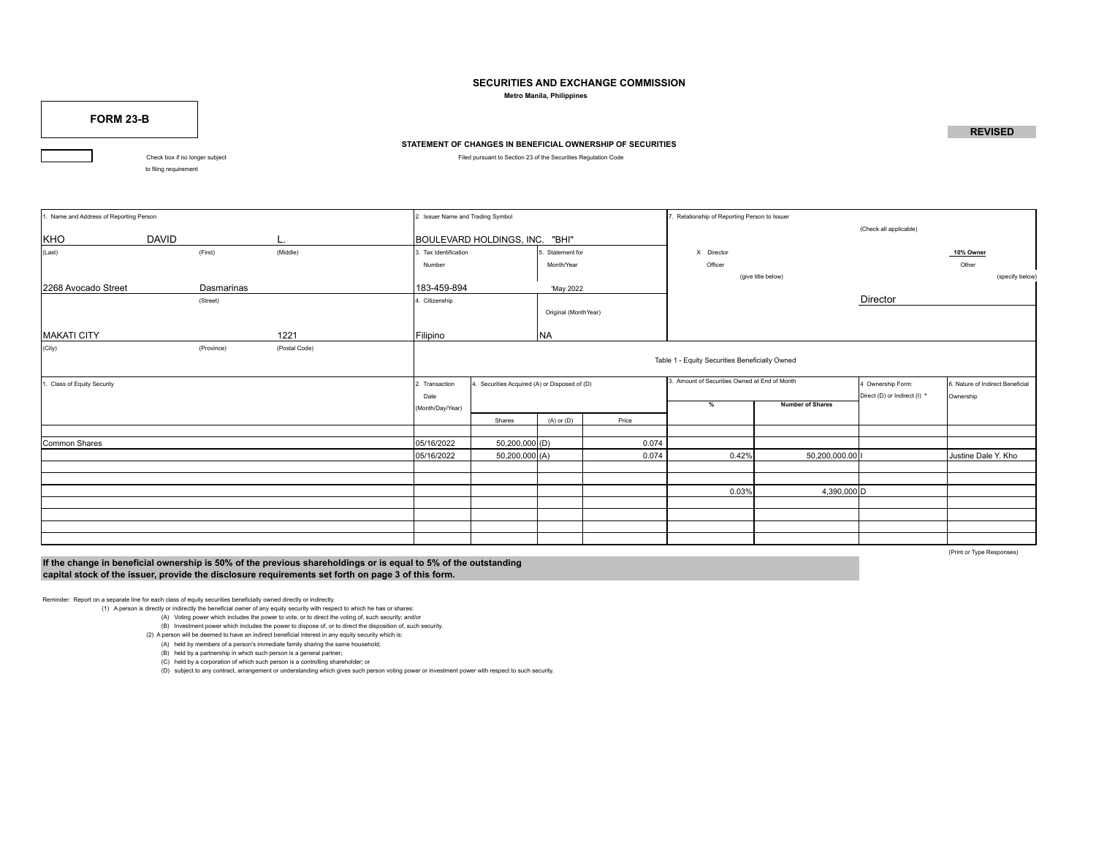## **SECURITIES AND EXCHANGE COMMISSION**

 **Metro Manila, Philippines**

**FORM 23-B**

## **STATEMENT OF CHANGES IN BENEFICIAL OWNERSHIP OF SECURITIES**

Check box if no longer subject Filed pursuant to Section 23 of the Securities Regulation Code

to filing requirement

| 1. Name and Address of Reporting Person |                            |                      | 2. Issuer Name and Trading Symbol                                       |                                                |                    |                                               | '. Relationship of Reporting Person to Issuer |                                                   |                                               |           |                     |  |  |
|-----------------------------------------|----------------------------|----------------------|-------------------------------------------------------------------------|------------------------------------------------|--------------------|-----------------------------------------------|-----------------------------------------------|---------------------------------------------------|-----------------------------------------------|-----------|---------------------|--|--|
| KHO<br><b>DAVID</b><br>L.               |                            |                      | BOULEVARD HOLDINGS, INC. "BHI"                                          |                                                |                    |                                               |                                               |                                                   | (Check all applicable)                        |           |                     |  |  |
| (Last)                                  |                            | (First)              | (Middle)                                                                | 3. Tax Identification<br>Statement for         |                    |                                               | X Director                                    |                                                   |                                               | 10% Owner |                     |  |  |
|                                         | Month/Year<br>Number       |                      |                                                                         |                                                |                    |                                               |                                               | Officer                                           |                                               | Other     |                     |  |  |
|                                         |                            |                      |                                                                         |                                                | (give title below) |                                               | (specify below)                               |                                                   |                                               |           |                     |  |  |
| 2268 Avocado Street                     |                            | Dasmarinas           |                                                                         | 183-459-894<br>'May 2022                       |                    |                                               |                                               |                                                   |                                               |           |                     |  |  |
|                                         | 4. Citizenship<br>(Street) |                      |                                                                         |                                                |                    |                                               |                                               | Director                                          |                                               |           |                     |  |  |
|                                         |                            | Original (MonthYear) |                                                                         |                                                |                    |                                               |                                               |                                                   |                                               |           |                     |  |  |
| MAKATI CITY                             |                            |                      | 1221                                                                    | Filipino                                       | <b>NA</b>          |                                               |                                               |                                                   |                                               |           |                     |  |  |
| (City)                                  |                            | (Province)           | (Postal Code)                                                           | Table 1 - Equity Securities Beneficially Owned |                    |                                               |                                               |                                                   |                                               |           |                     |  |  |
| 1. Class of Equity Security             |                            |                      | 4. Securities Acquired (A) or Disposed of (D)<br>2. Transaction<br>Date |                                                |                    | 3. Amount of Securities Owned at End of Month |                                               | 4 Ownership Form:<br>Direct (D) or Indirect (I) * | 6. Nature of Indirect Beneficial<br>Ownership |           |                     |  |  |
|                                         |                            |                      |                                                                         | (Month/Day/Year)                               |                    |                                               |                                               | <b>Number of Shares</b><br>%                      |                                               |           |                     |  |  |
|                                         |                            |                      |                                                                         |                                                | Shares             | $(A)$ or $(D)$                                | Price                                         |                                                   |                                               |           |                     |  |  |
|                                         |                            |                      |                                                                         |                                                |                    |                                               |                                               |                                                   |                                               |           |                     |  |  |
| Common Shares                           |                            |                      |                                                                         | 05/16/2022                                     | 50,200,000 (D)     |                                               | 0.074                                         |                                                   |                                               |           |                     |  |  |
|                                         |                            |                      |                                                                         | 05/16/2022                                     | 50,200,000 (A)     |                                               | 0.074                                         | 0.42%                                             | 50,200,000.00                                 |           | Justine Dale Y. Kho |  |  |
|                                         |                            |                      |                                                                         |                                                |                    |                                               |                                               |                                                   |                                               |           |                     |  |  |
|                                         |                            |                      |                                                                         |                                                |                    |                                               |                                               |                                                   |                                               |           |                     |  |  |
|                                         |                            |                      |                                                                         |                                                |                    |                                               |                                               | 0.03%                                             | 4,390,000 D                                   |           |                     |  |  |
|                                         |                            |                      |                                                                         |                                                |                    |                                               |                                               |                                                   |                                               |           |                     |  |  |
|                                         |                            |                      |                                                                         |                                                |                    |                                               |                                               |                                                   |                                               |           |                     |  |  |
|                                         |                            |                      |                                                                         |                                                |                    |                                               |                                               |                                                   |                                               |           |                     |  |  |
|                                         |                            |                      |                                                                         |                                                |                    |                                               |                                               |                                                   |                                               |           |                     |  |  |

**If the change in beneficial ownership is 50% of the previous shareholdings or is equal to 5% of the outstanding capital stock of the issuer, provide the disclosure requirements set forth on page 3 of this form.**

(Print or Type Responses)

**REVISED**

Reminder: Report on a separate line for each class of equity securities beneficially owned directly or indirectly.

(1) A person is directly or indirectly the beneficial owner of any equity security with respect to which he has or shares:

(A) Voting power which includes the power to vote, or to direct the voting of, such security; and/or

 (B) Investment power which includes the power to dispose of, or to direct the disposition of, such security. (2) A person will be deemed to have an indirect beneficial interest in any equity security which is:

(A) held by members of a person's immediate family sharing the same household;

(B) held by a partnership in which such person is a general partner;

(C) held by a corporation of which such person is a controlling shareholder; or

(D) subject to any contract, arrangement or understanding which gives such person voting power or investment power with respect to such security.